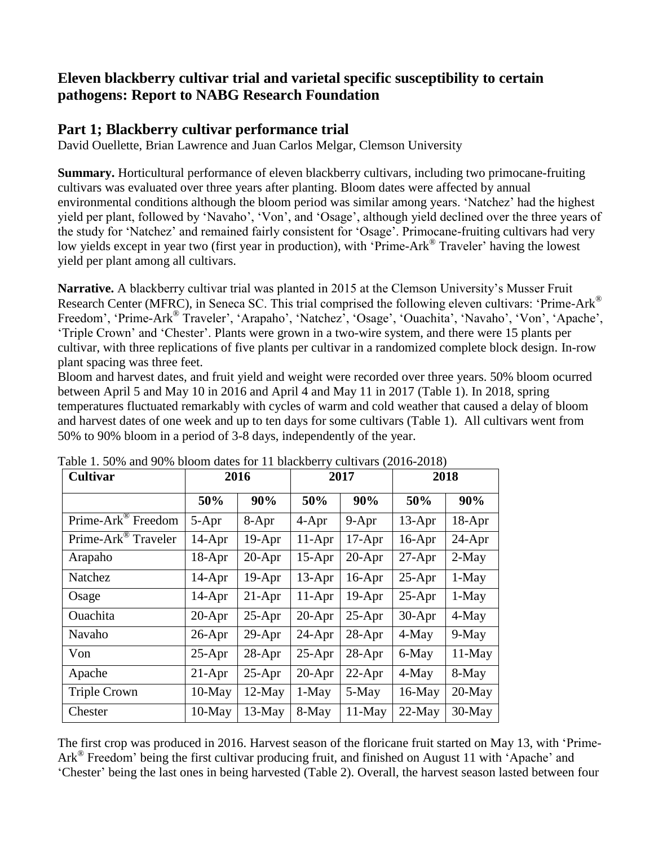## **Eleven blackberry cultivar trial and varietal specific susceptibility to certain pathogens: Report to NABG Research Foundation**

## **Part 1; Blackberry cultivar performance trial**

David Ouellette, Brian Lawrence and Juan Carlos Melgar, Clemson University

**Summary.** Horticultural performance of eleven blackberry cultivars, including two primocane-fruiting cultivars was evaluated over three years after planting. Bloom dates were affected by annual environmental conditions although the bloom period was similar among years. 'Natchez' had the highest yield per plant, followed by 'Navaho', 'Von', and 'Osage', although yield declined over the three years of the study for 'Natchez' and remained fairly consistent for 'Osage'. Primocane-fruiting cultivars had very low yields except in year two (first year in production), with 'Prime-Ark® Traveler' having the lowest yield per plant among all cultivars.

**Narrative.** A blackberry cultivar trial was planted in 2015 at the Clemson University's Musser Fruit Research Center (MFRC), in Seneca SC. This trial comprised the following eleven cultivars: 'Prime-Ark® Freedom', 'Prime-Ark® Traveler', 'Arapaho', 'Natchez', 'Osage', 'Ouachita', 'Navaho', 'Von', 'Apache', 'Triple Crown' and 'Chester'. Plants were grown in a two-wire system, and there were 15 plants per cultivar, with three replications of five plants per cultivar in a randomized complete block design. In-row plant spacing was three feet.

Bloom and harvest dates, and fruit yield and weight were recorded over three years. 50% bloom ocurred between April 5 and May 10 in 2016 and April 4 and May 11 in 2017 (Table 1). In 2018, spring temperatures fluctuated remarkably with cycles of warm and cold weather that caused a delay of bloom and harvest dates of one week and up to ten days for some cultivars (Table 1). All cultivars went from 50% to 90% bloom in a period of 3-8 days, independently of the year.

| <b>Cultivar</b>                 | 2016      |           | 2017       |          | 2018      |           |
|---------------------------------|-----------|-----------|------------|----------|-----------|-----------|
|                                 | 50%       | 90%       | 50%        | 90%      | 50%       | 90%       |
| Prime-Ark <sup>®</sup> Freedom  | $5-Apr$   | 8-Apr     | $4-Apr$    | $9-Apr$  | $13-Apr$  | 18-Apr    |
| Prime-Ark <sup>®</sup> Traveler | $14-Apr$  | 19-Apr    | $11-Apr$   | $17-Apr$ | $16-Apr$  | $24-Apr$  |
| Arapaho                         | 18-Apr    | $20-Apr$  | $15-Apr$   | $20-Apr$ | $27-Apr$  | 2-May     |
| Natchez                         | $14-Apr$  | 19-Apr    | $13-Apr$   | $16-Apr$ | $25-Apr$  | 1-May     |
| Osage                           | 14-Apr    | $21-Apr$  | $11-Apr$   | $19-Apr$ | $25-Apr$  | 1-May     |
| Ouachita                        | $20-Apr$  | $25-Apr$  | $20 - Apr$ | $25-Apr$ | 30-Apr    | $4-May$   |
| Navaho                          | $26$ -Apr | $29-Apr$  | $24-Apr$   | $28-Apr$ | $4-May$   | $9$ -May  |
| Von                             | $25-Apr$  | $28-Apr$  | $25-Apr$   | $28-Apr$ | 6-May     | $11$ -May |
| Apache                          | $21-Apr$  | $25-Apr$  | $20-Apr$   | $22-Apr$ | $4-May$   | 8-May     |
| <b>Triple Crown</b>             | $10$ -May | $12$ -May | $1-May$    | 5-May    | $16$ -May | $20$ -May |
| Chester                         | $10$ -May | $13-May$  | 8-May      | $11-May$ | $22-May$  | $30-May$  |

Table 1. 50% and 90% bloom dates for 11 blackberry cultivars (2016-2018)

The first crop was produced in 2016. Harvest season of the floricane fruit started on May 13, with 'Prime-Ark® Freedom' being the first cultivar producing fruit, and finished on August 11 with 'Apache' and 'Chester' being the last ones in being harvested (Table 2). Overall, the harvest season lasted between four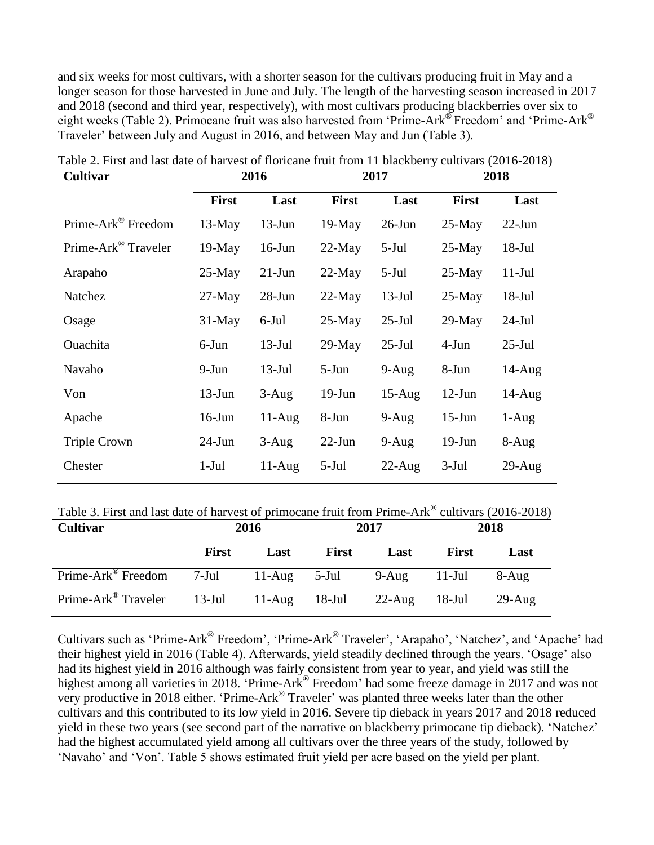and six weeks for most cultivars, with a shorter season for the cultivars producing fruit in May and a longer season for those harvested in June and July. The length of the harvesting season increased in 2017 and 2018 (second and third year, respectively), with most cultivars producing blackberries over six to eight weeks (Table 2). Primocane fruit was also harvested from 'Prime-Ark® Freedom' and 'Prime-Ark® Traveler' between July and August in 2016, and between May and Jun (Table 3).

| <b>Cultivar</b>                 |              | 2016      | 2017         |           | 2018         |           |
|---------------------------------|--------------|-----------|--------------|-----------|--------------|-----------|
|                                 | <b>First</b> | Last      | <b>First</b> | Last      | <b>First</b> | Last      |
| Prime-Ark <sup>®</sup> Freedom  | $13$ -May    | $13-Jun$  | $19$ -May    | $26$ -Jun | $25-May$     | $22-Jun$  |
| Prime-Ark <sup>®</sup> Traveler | $19$ -May    | $16$ -Jun | $22-May$     | $5-Jul$   | $25-May$     | $18-Jul$  |
| Arapaho                         | $25$ -May    | $21-Jun$  | $22-May$     | $5-Jul$   | $25-May$     | $11-Jul$  |
| Natchez                         | $27$ -May    | $28-J$ un | $22$ -May    | $13$ -Jul | $25-May$     | $18-Jul$  |
| Osage                           | $31$ -May    | $6$ -Jul  | $25-May$     | $25$ -Jul | $29$ -May    | $24$ -Jul |
| Ouachita                        | $6$ -Jun     | $13$ -Jul | $29$ -May    | $25$ -Jul | $4-Jun$      | $25$ -Jul |
| Navaho                          | 9-Jun        | $13$ -Jul | $5-Jun$      | $9-Aug$   | 8-Jun        | $14$ -Aug |
| Von                             | $13-Jun$     | $3-Aug$   | $19-J$ un    | $15-Aug$  | $12-Jun$     | $14-Aug$  |
| Apache                          | $16$ -Jun    | $11-Aug$  | 8-Jun        | $9-Aug$   | $15$ -Jun    | $1-Aug$   |
| <b>Triple Crown</b>             | $24$ -Jun    | $3-Aug$   | $22$ -Jun    | $9-Aug$   | $19-Jun$     | $8-Aug$   |
| Chester                         | $1-Jul$      | $11-Aug$  | $5$ -Jul     | $22$ -Aug | $3-Jul$      | $29-Aug$  |

Table 2. First and last date of harvest of floricane fruit from 11 blackberry cultivars (2016-2018)

Table 3. First and last date of harvest of primocane fruit from Prime-Ark® cultivars (2016-2018)

| <b>Cultivar</b>                                      | 2016         | 2017           |       | 2018           |           |           |
|------------------------------------------------------|--------------|----------------|-------|----------------|-----------|-----------|
|                                                      | <b>First</b> | Last           | First | Last           | First     | Last      |
| $\overline{\text{Prime-Ark}}^{\omega}$ Freedom 7-Jul |              | $11-Aug$ 5-Jul |       | $9-Aug$ 11-Jul |           | 8-Aug     |
| Prime-Ark <sup>®</sup> Traveler 13-Jul 11-Aug 18-Jul |              |                |       | $22$ -Aug      | $18$ -Jul | $29$ -Aug |

Cultivars such as 'Prime-Ark® Freedom', 'Prime-Ark® Traveler', 'Arapaho', 'Natchez', and 'Apache' had their highest yield in 2016 (Table 4). Afterwards, yield steadily declined through the years. 'Osage' also had its highest yield in 2016 although was fairly consistent from year to year, and yield was still the highest among all varieties in 2018. 'Prime-Ark<sup>®</sup> Freedom' had some freeze damage in 2017 and was not very productive in 2018 either. 'Prime-Ark® Traveler' was planted three weeks later than the other cultivars and this contributed to its low yield in 2016. Severe tip dieback in years 2017 and 2018 reduced yield in these two years (see second part of the narrative on blackberry primocane tip dieback). 'Natchez' had the highest accumulated yield among all cultivars over the three years of the study, followed by 'Navaho' and 'Von'. Table 5 shows estimated fruit yield per acre based on the yield per plant.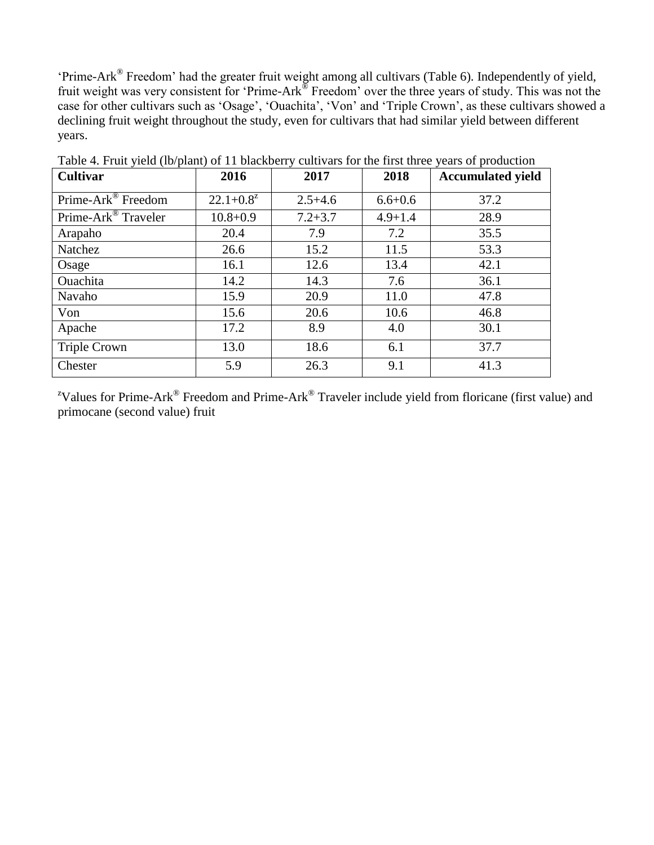'Prime-Ark® Freedom' had the greater fruit weight among all cultivars (Table 6). Independently of yield, fruit weight was very consistent for 'Prime-Ark® Freedom' over the three years of study. This was not the case for other cultivars such as 'Osage', 'Ouachita', 'Von' and 'Triple Crown', as these cultivars showed a declining fruit weight throughout the study, even for cultivars that had similar yield between different years.

| <b>Cultivar</b>                 | 2016           | 2017        | 2018        | <b>Accumulated yield</b> |
|---------------------------------|----------------|-------------|-------------|--------------------------|
| Prime-Ark <sup>®</sup> Freedom  | $22.1 + 0.8^z$ | $2.5 + 4.6$ | $6.6 + 0.6$ | 37.2                     |
| Prime-Ark <sup>®</sup> Traveler | $10.8 + 0.9$   | $7.2 + 3.7$ | $4.9 + 1.4$ | 28.9                     |
| Arapaho                         | 20.4           | 7.9         | 7.2         | 35.5                     |
| Natchez                         | 26.6           | 15.2        | 11.5        | 53.3                     |
| Osage                           | 16.1           | 12.6        | 13.4        | 42.1                     |
| Ouachita                        | 14.2           | 14.3        | 7.6         | 36.1                     |
| Navaho                          | 15.9           | 20.9        | 11.0        | 47.8                     |
| Von                             | 15.6           | 20.6        | 10.6        | 46.8                     |
| Apache                          | 17.2           | 8.9         | 4.0         | 30.1                     |
| Triple Crown                    | 13.0           | 18.6        | 6.1         | 37.7                     |
| Chester                         | 5.9            | 26.3        | 9.1         | 41.3                     |

Table 4. Fruit yield (lb/plant) of 11 blackberry cultivars for the first three years of production

<sup>z</sup>Values for Prime-Ark<sup>®</sup> Freedom and Prime-Ark<sup>®</sup> Traveler include yield from floricane (first value) and primocane (second value) fruit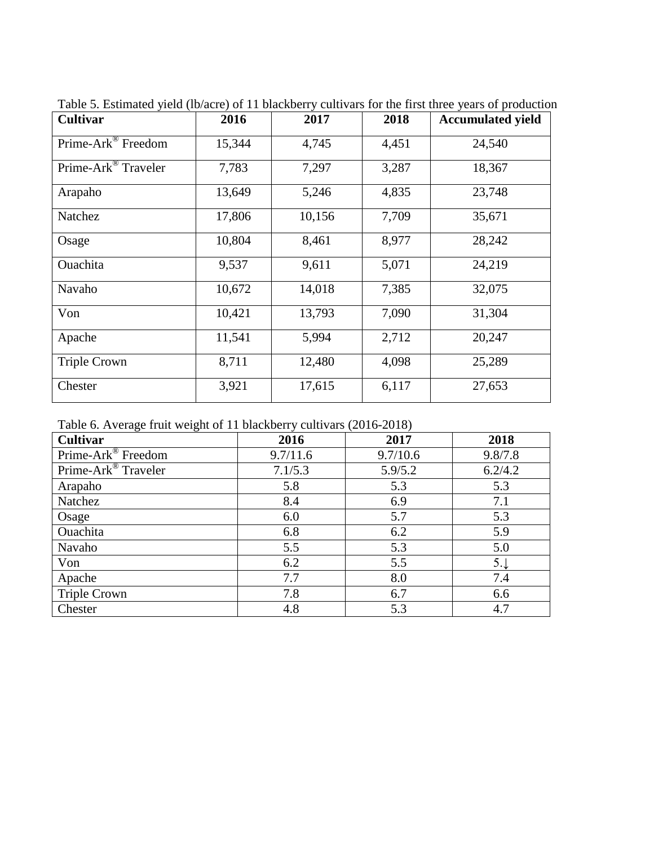| <b>Cultivar</b>                 | 2016   | 2017   | 2018  | <b>Accumulated yield</b> |
|---------------------------------|--------|--------|-------|--------------------------|
| Prime-Ark <sup>®</sup> Freedom  | 15,344 | 4,745  | 4,451 | 24,540                   |
| Prime-Ark <sup>®</sup> Traveler | 7,783  | 7,297  | 3,287 | 18,367                   |
| Arapaho                         | 13,649 | 5,246  | 4,835 | 23,748                   |
| Natchez                         | 17,806 | 10,156 | 7,709 | 35,671                   |
| Osage                           | 10,804 | 8,461  | 8,977 | 28,242                   |
| Ouachita                        | 9,537  | 9,611  | 5,071 | 24,219                   |
| Navaho                          | 10,672 | 14,018 | 7,385 | 32,075                   |
| Von                             | 10,421 | 13,793 | 7,090 | 31,304                   |
| Apache                          | 11,541 | 5,994  | 2,712 | 20,247                   |
| <b>Triple Crown</b>             | 8,711  | 12,480 | 4,098 | 25,289                   |
| Chester                         | 3,921  | 17,615 | 6,117 | 27,653                   |

Table 5. Estimated yield (lb/acre) of 11 blackberry cultivars for the first three years of production

Table 6. Average fruit weight of 11 blackberry cultivars (2016-2018)

| $\circ$<br>Cultivar             | 2016     | 2017     | 2018           |
|---------------------------------|----------|----------|----------------|
| Prime-Ark <sup>®</sup> Freedom  | 9.7/11.6 | 9.7/10.6 | 9.8/7.8        |
| Prime-Ark <sup>®</sup> Traveler | 7.1/5.3  | 5.9/5.2  | 6.2/4.2        |
| Arapaho                         | 5.8      | 5.3      | 5.3            |
| Natchez                         | 8.4      | 6.9      | 7.1            |
| Osage                           | 6.0      | 5.7      | 5.3            |
| Ouachita                        | 6.8      | 6.2      | 5.9            |
| Navaho                          | 5.5      | 5.3      | 5.0            |
| Von                             | 6.2      | 5.5      | $5.\downarrow$ |
| Apache                          | 7.7      | 8.0      | 7.4            |
| <b>Triple Crown</b>             | 7.8      | 6.7      | 6.6            |
| Chester                         | 4.8      | 5.3      | 4.7            |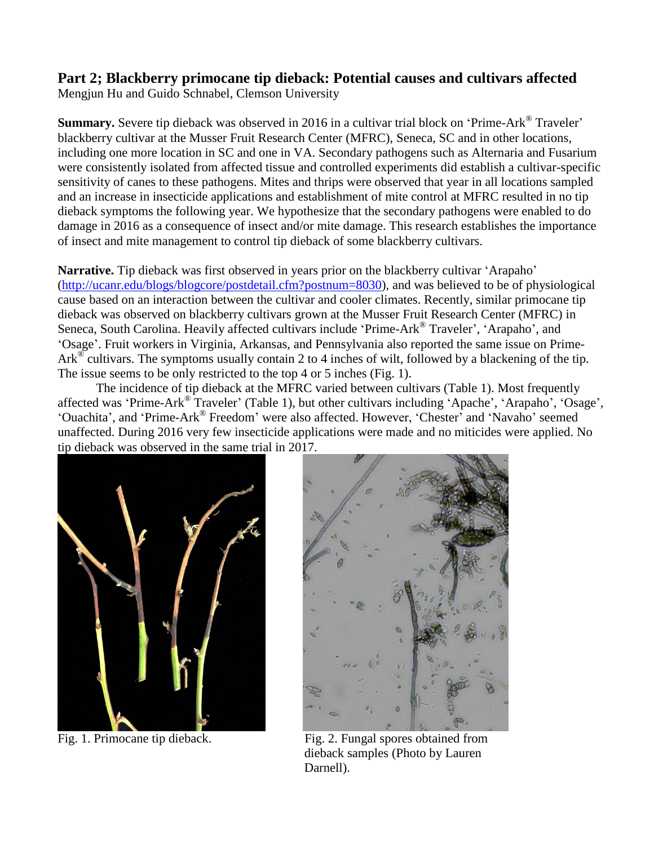## **Part 2; Blackberry primocane tip dieback: Potential causes and cultivars affected**

Mengjun Hu and Guido Schnabel, Clemson University

**Summary.** Severe tip dieback was observed in 2016 in a cultivar trial block on 'Prime-Ark® Traveler' blackberry cultivar at the Musser Fruit Research Center (MFRC), Seneca, SC and in other locations, including one more location in SC and one in VA. Secondary pathogens such as Alternaria and Fusarium were consistently isolated from affected tissue and controlled experiments did establish a cultivar-specific sensitivity of canes to these pathogens. Mites and thrips were observed that year in all locations sampled and an increase in insecticide applications and establishment of mite control at MFRC resulted in no tip dieback symptoms the following year. We hypothesize that the secondary pathogens were enabled to do damage in 2016 as a consequence of insect and/or mite damage. This research establishes the importance of insect and mite management to control tip dieback of some blackberry cultivars.

**Narrative.** Tip dieback was first observed in years prior on the blackberry cultivar 'Arapaho' [\(http://ucanr.edu/blogs/blogcore/postdetail.cfm?postnum=8030\)](http://ucanr.edu/blogs/blogcore/postdetail.cfm?postnum=8030), and was believed to be of physiological cause based on an interaction between the cultivar and cooler climates. Recently, similar primocane tip dieback was observed on blackberry cultivars grown at the Musser Fruit Research Center (MFRC) in Seneca, South Carolina. Heavily affected cultivars include 'Prime-Ark® Traveler', 'Arapaho', and 'Osage'. Fruit workers in Virginia, Arkansas, and Pennsylvania also reported the same issue on Prime-Ark $^{\circ}$  cultivars. The symptoms usually contain 2 to 4 inches of wilt, followed by a blackening of the tip. The issue seems to be only restricted to the top 4 or 5 inches (Fig. 1).

The incidence of tip dieback at the MFRC varied between cultivars (Table 1). Most frequently affected was 'Prime-Ark® Traveler' (Table 1), but other cultivars including 'Apache', 'Arapaho', 'Osage', 'Ouachita', and 'Prime-Ark® Freedom' were also affected. However, 'Chester' and 'Navaho' seemed unaffected. During 2016 very few insecticide applications were made and no miticides were applied. No tip dieback was observed in the same trial in 2017.





Fig. 1. Primocane tip dieback. Fig. 2. Fungal spores obtained from dieback samples (Photo by Lauren Darnell).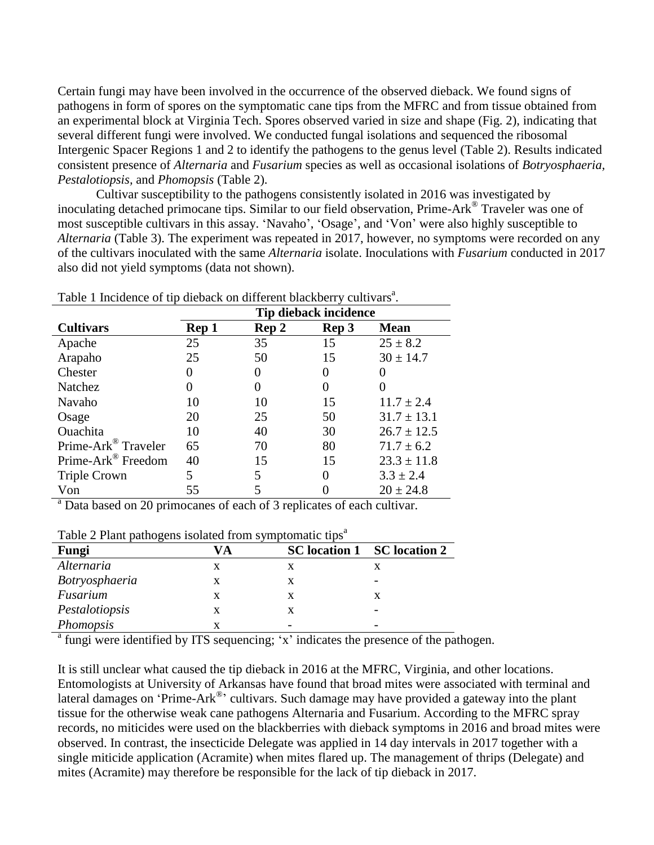Certain fungi may have been involved in the occurrence of the observed dieback. We found signs of pathogens in form of spores on the symptomatic cane tips from the MFRC and from tissue obtained from an experimental block at Virginia Tech. Spores observed varied in size and shape (Fig. 2), indicating that several different fungi were involved. We conducted fungal isolations and sequenced the ribosomal Intergenic Spacer Regions 1 and 2 to identify the pathogens to the genus level (Table 2). Results indicated consistent presence of *Alternaria* and *Fusarium* species as well as occasional isolations of *Botryosphaeria, Pestalotiopsis,* and *Phomopsis* (Table 2).

Cultivar susceptibility to the pathogens consistently isolated in 2016 was investigated by inoculating detached primocane tips. Similar to our field observation, Prime-Ark® Traveler was one of most susceptible cultivars in this assay. 'Navaho', 'Osage', and 'Von' were also highly susceptible to *Alternaria* (Table 3). The experiment was repeated in 2017, however, no symptoms were recorded on any of the cultivars inoculated with the same *Alternaria* isolate. Inoculations with *Fusarium* conducted in 2017 also did not yield symptoms (data not shown).

| I avid I Includite of tip diducts on unfididit blackbolly cultivals. |                       |       |       |                 |  |
|----------------------------------------------------------------------|-----------------------|-------|-------|-----------------|--|
|                                                                      | Tip dieback incidence |       |       |                 |  |
| <b>Cultivars</b>                                                     | Rep 1                 | Rep 2 | Rep 3 | <b>Mean</b>     |  |
| Apache                                                               | 25                    | 35    | 15    | $25 \pm 8.2$    |  |
| Arapaho                                                              | 25                    | 50    | 15    | $30 \pm 14.7$   |  |
| Chester                                                              | $_{0}$                | 0     |       |                 |  |
| Natchez                                                              |                       | 0     |       | 0               |  |
| Navaho                                                               | 10                    | 10    | 15    | $11.7 \pm 2.4$  |  |
| Osage                                                                | 20                    | 25    | 50    | $31.7 \pm 13.1$ |  |
| <b>Ouachita</b>                                                      | 10                    | 40    | 30    | $26.7 \pm 12.5$ |  |
| Prime-Ark <sup>®</sup> Traveler                                      | 65                    | 70    | 80    | $71.7 \pm 6.2$  |  |
| Prime-Ark <sup>®</sup> Freedom                                       | 40                    | 15    | 15    | $23.3 \pm 11.8$ |  |
| <b>Triple Crown</b>                                                  | 5                     | 5     |       | $3.3 \pm 2.4$   |  |
| Von                                                                  | 55                    |       |       | $20 \pm 24.8$   |  |

Table 1 Incidence of tip dieback on different blackberry cultivars<sup>a</sup>.

<sup>a</sup> Data based on 20 primocanes of each of 3 replicates of each cultivar.

| Table 2 Plant pathogens isolated from symptomatic tips <sup>a</sup> |  |  |  |
|---------------------------------------------------------------------|--|--|--|
|                                                                     |  |  |  |

| Fungi                 | VА |   | SC location 1 SC location 2 |  |  |  |
|-----------------------|----|---|-----------------------------|--|--|--|
| Alternaria            |    | X | х                           |  |  |  |
| <b>Botryosphaeria</b> |    | x |                             |  |  |  |
| Fusarium              |    | x | х                           |  |  |  |
| Pestalotiopsis        |    | x |                             |  |  |  |
| Phomopsis             |    |   |                             |  |  |  |

<sup>a</sup> fungi were identified by ITS sequencing; 'x' indicates the presence of the pathogen.

It is still unclear what caused the tip dieback in 2016 at the MFRC, Virginia, and other locations. Entomologists at University of Arkansas have found that broad mites were associated with terminal and lateral damages on 'Prime-Ark®' cultivars. Such damage may have provided a gateway into the plant tissue for the otherwise weak cane pathogens Alternaria and Fusarium. According to the MFRC spray records, no miticides were used on the blackberries with dieback symptoms in 2016 and broad mites were observed. In contrast, the insecticide Delegate was applied in 14 day intervals in 2017 together with a single miticide application (Acramite) when mites flared up. The management of thrips (Delegate) and mites (Acramite) may therefore be responsible for the lack of tip dieback in 2017.